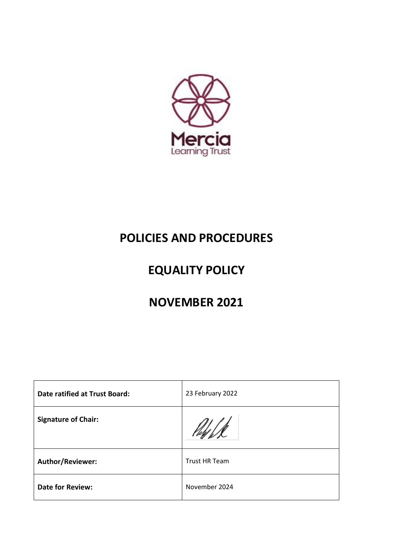

# **POLICIES AND PROCEDURES**

# **EQUALITY POLICY**

# **NOVEMBER 2021**

| <b>Date ratified at Trust Board:</b> | 23 February 2022     |
|--------------------------------------|----------------------|
| <b>Signature of Chair:</b>           |                      |
| Author/Reviewer:                     | <b>Trust HR Team</b> |
| <b>Date for Review:</b>              | November 2024        |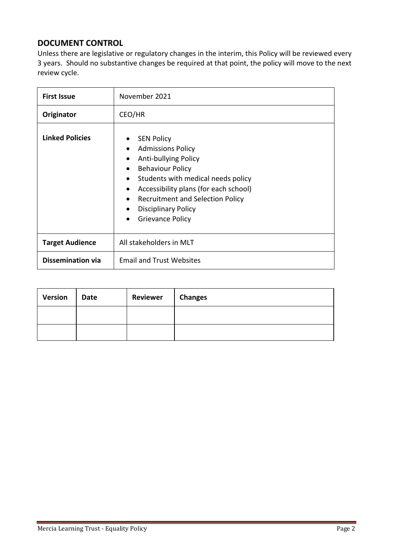# **DOCUMENT CONTROL**

Unless there are legislative or regulatory changes in the interim, this Policy will be reviewed every 3 years. Should no substantive changes be required at that point, the policy will move to the next review cycle.

| <b>First Issue</b>       | November 2021                                                                                                                                                                                                                                                                                                                                                           |  |
|--------------------------|-------------------------------------------------------------------------------------------------------------------------------------------------------------------------------------------------------------------------------------------------------------------------------------------------------------------------------------------------------------------------|--|
| Originator               | CEO/HR                                                                                                                                                                                                                                                                                                                                                                  |  |
| <b>Linked Policies</b>   | <b>SEN Policy</b><br>$\bullet$<br><b>Admissions Policy</b><br>$\bullet$<br>Anti-bullying Policy<br><b>Behaviour Policy</b><br>Students with medical needs policy<br>$\bullet$<br>Accessibility plans (for each school)<br>$\bullet$<br><b>Recruitment and Selection Policy</b><br>$\bullet$<br><b>Disciplinary Policy</b><br>$\bullet$<br>Grievance Policy<br>$\bullet$ |  |
| <b>Target Audience</b>   | All stakeholders in MLT                                                                                                                                                                                                                                                                                                                                                 |  |
| <b>Dissemination via</b> | <b>Email and Trust Websites</b>                                                                                                                                                                                                                                                                                                                                         |  |

| <b>Version</b> | Date | Reviewer   Changes |  |
|----------------|------|--------------------|--|
|                |      |                    |  |
|                |      |                    |  |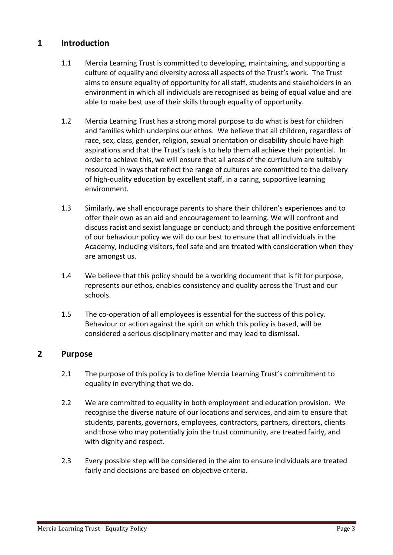# **1 Introduction**

- 1.1 Mercia Learning Trust is committed to developing, maintaining, and supporting a culture of equality and diversity across all aspects of the Trust's work. The Trust aims to ensure equality of opportunity for all staff, students and stakeholders in an environment in which all individuals are recognised as being of equal value and are able to make best use of their skills through equality of opportunity.
- 1.2 Mercia Learning Trust has a strong moral purpose to do what is best for children and families which underpins our ethos. We believe that all children, regardless of race, sex, class, gender, religion, sexual orientation or disability should have high aspirations and that the Trust's task is to help them all achieve their potential. In order to achieve this, we will ensure that all areas of the curriculum are suitably resourced in ways that reflect the range of cultures are committed to the delivery of high-quality education by excellent staff, in a caring, supportive learning environment.
- 1.3 Similarly, we shall encourage parents to share their children's experiences and to offer their own as an aid and encouragement to learning. We will confront and discuss racist and sexist language or conduct; and through the positive enforcement of our behaviour policy we will do our best to ensure that all individuals in the Academy, including visitors, feel safe and are treated with consideration when they are amongst us.
- 1.4 We believe that this policy should be a working document that is fit for purpose, represents our ethos, enables consistency and quality across the Trust and our schools.
- 1.5 The co-operation of all employees is essential for the success of this policy. Behaviour or action against the spirit on which this policy is based, will be considered a serious disciplinary matter and may lead to dismissal.

# **2 Purpose**

- 2.1 The purpose of this policy is to define Mercia Learning Trust's commitment to equality in everything that we do.
- 2.2 We are committed to equality in both employment and education provision. We recognise the diverse nature of our locations and services, and aim to ensure that students, parents, governors, employees, contractors, partners, directors, clients and those who may potentially join the trust community, are treated fairly, and with dignity and respect.
- 2.3 Every possible step will be considered in the aim to ensure individuals are treated fairly and decisions are based on objective criteria.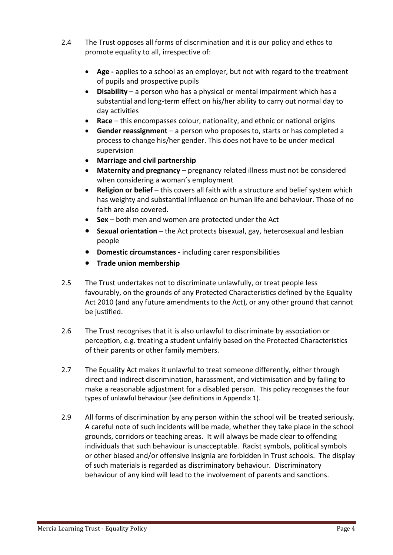- 2.4 The Trust opposes all forms of discrimination and it is our policy and ethos to promote equality to all, irrespective of:
	- **Age -** applies to a school as an employer, but not with regard to the treatment of pupils and prospective pupils
	- **Disability** a person who has a physical or mental impairment which has a substantial and long-term effect on his/her ability to carry out normal day to day activities
	- **Race** this encompasses colour, nationality, and ethnic or national origins
	- **Gender reassignment** a person who proposes to, starts or has completed a process to change his/her gender. This does not have to be under medical supervision
	- **Marriage and civil partnership**
	- **Maternity and pregnancy** pregnancy related illness must not be considered when considering a woman's employment
	- **Religion or belief** this covers all faith with a structure and belief system which has weighty and substantial influence on human life and behaviour. Those of no faith are also covered.
	- **Sex** both men and women are protected under the Act
	- **Sexual orientation** the Act protects bisexual, gay, heterosexual and lesbian people
	- **Domestic circumstances**  including carer responsibilities
	- **Trade union membership**
- 2.5 The Trust undertakes not to discriminate unlawfully, or treat people less favourably, on the grounds of any Protected Characteristics defined by the Equality Act 2010 (and any future amendments to the Act), or any other ground that cannot be justified.
- 2.6 The Trust recognises that it is also unlawful to discriminate by association or perception, e.g. treating a student unfairly based on the Protected Characteristics of their parents or other family members.
- 2.7 The Equality Act makes it unlawful to treat someone differently, either through direct and indirect discrimination, harassment, and victimisation and by failing to make a reasonable adjustment for a disabled person. This policy recognises the four types of unlawful behaviour (see definitions in Appendix 1).
- 2.9 All forms of discrimination by any person within the school will be treated seriously. A careful note of such incidents will be made, whether they take place in the school grounds, corridors or teaching areas. It will always be made clear to offending individuals that such behaviour is unacceptable. Racist symbols, political symbols or other biased and/or offensive insignia are forbidden in Trust schools. The display of such materials is regarded as discriminatory behaviour. Discriminatory behaviour of any kind will lead to the involvement of parents and sanctions.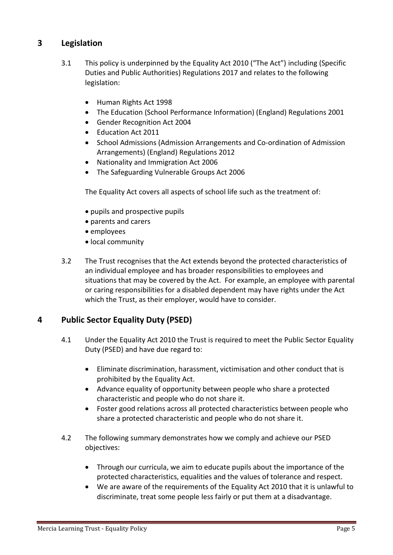# **3 Legislation**

- 3.1 This policy is underpinned by the Equality Act 2010 ("The Act") including (Specific Duties and Public Authorities) Regulations 2017 and relates to the following legislation:
	- Human Rights Act 1998
	- The Education (School Performance Information) (England) Regulations 2001
	- Gender Recognition Act 2004
	- Education Act 2011
	- School Admissions (Admission Arrangements and Co-ordination of Admission Arrangements) (England) Regulations 2012
	- Nationality and Immigration Act 2006
	- The Safeguarding Vulnerable Groups Act 2006

The Equality Act covers all aspects of school life such as the treatment of:

- pupils and prospective pupils
- parents and carers
- employees
- local community
- 3.2 The Trust recognises that the Act extends beyond the protected characteristics of an individual employee and has broader responsibilities to employees and situations that may be covered by the Act. For example, an employee with parental or caring responsibilities for a disabled dependent may have rights under the Act which the Trust, as their employer, would have to consider.

# **4 Public Sector Equality Duty (PSED)**

- 4.1 Under the Equality Act 2010 the Trust is required to meet the Public Sector Equality Duty (PSED) and have due regard to:
	- Eliminate discrimination, harassment, victimisation and other conduct that is prohibited by the Equality Act.
	- Advance equality of opportunity between people who share a protected characteristic and people who do not share it.
	- Foster good relations across all protected characteristics between people who share a protected characteristic and people who do not share it.
- 4.2 The following summary demonstrates how we comply and achieve our PSED objectives:
	- Through our curricula, we aim to educate pupils about the importance of the protected characteristics, equalities and the values of tolerance and respect.
	- We are aware of the requirements of the Equality Act 2010 that it is unlawful to discriminate, treat some people less fairly or put them at a disadvantage.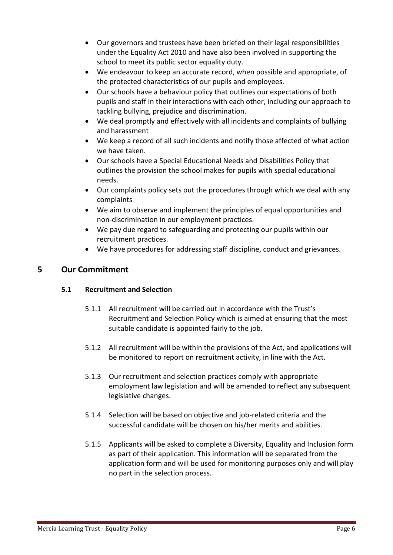- Our governors and trustees have been briefed on their legal responsibilities under the Equality Act 2010 and have also been involved in supporting the school to meet its public sector equality duty.
- We endeavour to keep an accurate record, when possible and appropriate, of the protected characteristics of our pupils and employees.
- Our schools have a behaviour policy that outlines our expectations of both pupils and staff in their interactions with each other, including our approach to tackling bullying, prejudice and discrimination.
- We deal promptly and effectively with all incidents and complaints of bullying and harassment
- We keep a record of all such incidents and notify those affected of what action we have taken.
- Our schools have a Special Educational Needs and Disabilities Policy that outlines the provision the school makes for pupils with special educational needs.
- Our complaints policy sets out the procedures through which we deal with any complaints
- We aim to observe and implement the principles of equal opportunities and non-discrimination in our employment practices.
- We pay due regard to safeguarding and protecting our pupils within our recruitment practices.
- We have procedures for addressing staff discipline, conduct and grievances.

# **5 Our Commitment**

## **5.1 Recruitment and Selection**

- 5.1.1 All recruitment will be carried out in accordance with the Trust's Recruitment and Selection Policy which is aimed at ensuring that the most suitable candidate is appointed fairly to the job.
- 5.1.2 All recruitment will be within the provisions of the Act, and applications will be monitored to report on recruitment activity, in line with the Act.
- 5.1.3 Our recruitment and selection practices comply with appropriate employment law legislation and will be amended to reflect any subsequent legislative changes.
- 5.1.4 Selection will be based on objective and job-related criteria and the successful candidate will be chosen on his/her merits and abilities.
- 5.1.5 Applicants will be asked to complete a Diversity, Equality and Inclusion form as part of their application. This information will be separated from the application form and will be used for monitoring purposes only and will play no part in the selection process.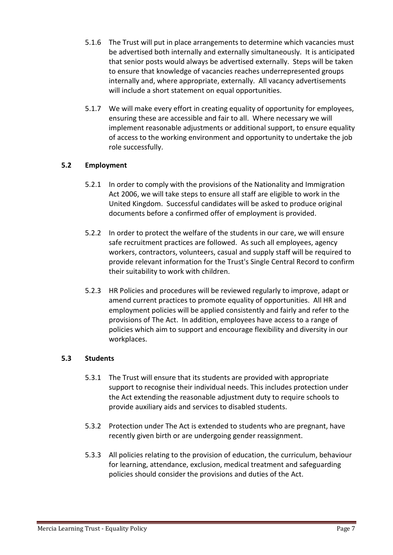- 5.1.6 The Trust will put in place arrangements to determine which vacancies must be advertised both internally and externally simultaneously. It is anticipated that senior posts would always be advertised externally. Steps will be taken to ensure that knowledge of vacancies reaches underrepresented groups internally and, where appropriate, externally. All vacancy advertisements will include a short statement on equal opportunities.
- 5.1.7 We will make every effort in creating equality of opportunity for employees, ensuring these are accessible and fair to all. Where necessary we will implement reasonable adjustments or additional support, to ensure equality of access to the working environment and opportunity to undertake the job role successfully.

## **5.2 Employment**

- 5.2.1 In order to comply with the provisions of the Nationality and Immigration Act 2006, we will take steps to ensure all staff are eligible to work in the United Kingdom. Successful candidates will be asked to produce original documents before a confirmed offer of employment is provided.
- 5.2.2 In order to protect the welfare of the students in our care, we will ensure safe recruitment practices are followed. As such all employees, agency workers, contractors, volunteers, casual and supply staff will be required to provide relevant information for the Trust's Single Central Record to confirm their suitability to work with children.
- 5.2.3 HR Policies and procedures will be reviewed regularly to improve, adapt or amend current practices to promote equality of opportunities. All HR and employment policies will be applied consistently and fairly and refer to the provisions of The Act. In addition, employees have access to a range of policies which aim to support and encourage flexibility and diversity in our workplaces.

#### **5.3 Students**

- 5.3.1 The Trust will ensure that its students are provided with appropriate support to recognise their individual needs. This includes protection under the Act extending the reasonable adjustment duty to require schools to provide auxiliary aids and services to disabled students.
- 5.3.2 Protection under The Act is extended to students who are pregnant, have recently given birth or are undergoing gender reassignment.
- 5.3.3 All policies relating to the provision of education, the curriculum, behaviour for learning, attendance, exclusion, medical treatment and safeguarding policies should consider the provisions and duties of the Act.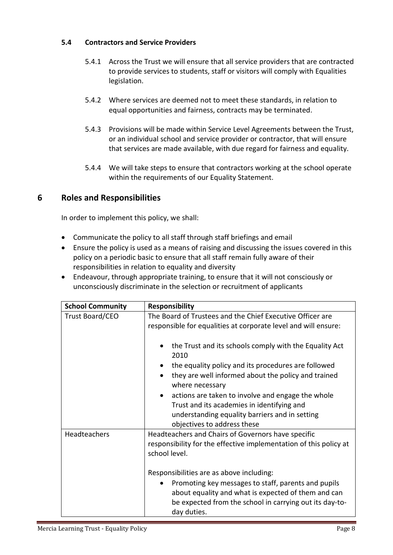## **5.4 Contractors and Service Providers**

- 5.4.1 Across the Trust we will ensure that all service providers that are contracted to provide services to students, staff or visitors will comply with Equalities legislation.
- 5.4.2 Where services are deemed not to meet these standards, in relation to equal opportunities and fairness, contracts may be terminated.
- 5.4.3 Provisions will be made within Service Level Agreements between the Trust, or an individual school and service provider or contractor, that will ensure that services are made available, with due regard for fairness and equality.
- 5.4.4 We will take steps to ensure that contractors working at the school operate within the requirements of our Equality Statement.

# **6 Roles and Responsibilities**

In order to implement this policy, we shall:

- Communicate the policy to all staff through staff briefings and email
- Ensure the policy is used as a means of raising and discussing the issues covered in this policy on a periodic basic to ensure that all staff remain fully aware of their responsibilities in relation to equality and diversity
- Endeavour, through appropriate training, to ensure that it will not consciously or unconsciously discriminate in the selection or recruitment of applicants

| <b>School Community</b> | <b>Responsibility</b>                                                                                                                                                                |  |
|-------------------------|--------------------------------------------------------------------------------------------------------------------------------------------------------------------------------------|--|
| <b>Trust Board/CEO</b>  | The Board of Trustees and the Chief Executive Officer are<br>responsible for equalities at corporate level and will ensure:                                                          |  |
|                         | the Trust and its schools comply with the Equality Act<br>2010                                                                                                                       |  |
|                         | the equality policy and its procedures are followed                                                                                                                                  |  |
|                         | they are well informed about the policy and trained<br>where necessary                                                                                                               |  |
|                         | actions are taken to involve and engage the whole<br>$\bullet$                                                                                                                       |  |
|                         | Trust and its academies in identifying and                                                                                                                                           |  |
|                         | understanding equality barriers and in setting                                                                                                                                       |  |
|                         | objectives to address these                                                                                                                                                          |  |
| Headteachers            | Headteachers and Chairs of Governors have specific                                                                                                                                   |  |
|                         | responsibility for the effective implementation of this policy at                                                                                                                    |  |
|                         | school level.                                                                                                                                                                        |  |
|                         | Responsibilities are as above including:                                                                                                                                             |  |
|                         | Promoting key messages to staff, parents and pupils<br>about equality and what is expected of them and can<br>be expected from the school in carrying out its day-to-<br>day duties. |  |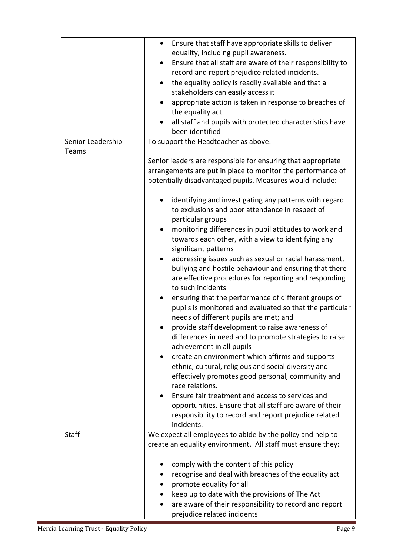|                   | Ensure that staff have appropriate skills to deliver<br>٠<br>equality, including pupil awareness.<br>Ensure that all staff are aware of their responsibility to<br>٠<br>record and report prejudice related incidents.<br>the equality policy is readily available and that all<br>$\bullet$<br>stakeholders can easily access it<br>appropriate action is taken in response to breaches of<br>the equality act<br>all staff and pupils with protected characteristics have<br>been identified |
|-------------------|------------------------------------------------------------------------------------------------------------------------------------------------------------------------------------------------------------------------------------------------------------------------------------------------------------------------------------------------------------------------------------------------------------------------------------------------------------------------------------------------|
| Senior Leadership | To support the Headteacher as above.                                                                                                                                                                                                                                                                                                                                                                                                                                                           |
| Teams             | Senior leaders are responsible for ensuring that appropriate<br>arrangements are put in place to monitor the performance of<br>potentially disadvantaged pupils. Measures would include:<br>identifying and investigating any patterns with regard                                                                                                                                                                                                                                             |
|                   | to exclusions and poor attendance in respect of<br>particular groups<br>monitoring differences in pupil attitudes to work and<br>towards each other, with a view to identifying any                                                                                                                                                                                                                                                                                                            |
|                   | significant patterns<br>addressing issues such as sexual or racial harassment,<br>bullying and hostile behaviour and ensuring that there<br>are effective procedures for reporting and responding<br>to such incidents                                                                                                                                                                                                                                                                         |
|                   | ensuring that the performance of different groups of<br>pupils is monitored and evaluated so that the particular<br>needs of different pupils are met; and                                                                                                                                                                                                                                                                                                                                     |
|                   | provide staff development to raise awareness of<br>differences in need and to promote strategies to raise<br>achievement in all pupils                                                                                                                                                                                                                                                                                                                                                         |
|                   | create an environment which affirms and supports<br>ethnic, cultural, religious and social diversity and<br>effectively promotes good personal, community and<br>race relations.                                                                                                                                                                                                                                                                                                               |
|                   | Ensure fair treatment and access to services and<br>opportunities. Ensure that all staff are aware of their<br>responsibility to record and report prejudice related<br>incidents.                                                                                                                                                                                                                                                                                                             |
| <b>Staff</b>      | We expect all employees to abide by the policy and help to                                                                                                                                                                                                                                                                                                                                                                                                                                     |
|                   | create an equality environment. All staff must ensure they:<br>comply with the content of this policy<br>recognise and deal with breaches of the equality act<br>promote equality for all<br>keep up to date with the provisions of The Act<br>are aware of their responsibility to record and report<br>prejudice related incidents                                                                                                                                                           |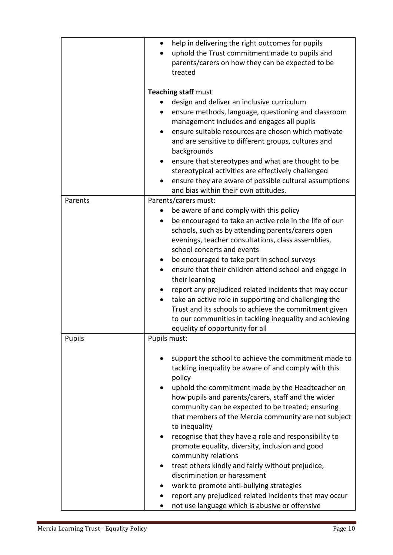|         | help in delivering the right outcomes for pupils<br>٠<br>uphold the Trust commitment made to pupils and<br>parents/carers on how they can be expected to be<br>treated                                                                                                                                                                                                                                                                                                                                                                                                                                                                                                                                                                                                           |
|---------|----------------------------------------------------------------------------------------------------------------------------------------------------------------------------------------------------------------------------------------------------------------------------------------------------------------------------------------------------------------------------------------------------------------------------------------------------------------------------------------------------------------------------------------------------------------------------------------------------------------------------------------------------------------------------------------------------------------------------------------------------------------------------------|
|         | <b>Teaching staff must</b><br>design and deliver an inclusive curriculum<br>ensure methods, language, questioning and classroom<br>management includes and engages all pupils<br>ensure suitable resources are chosen which motivate<br>and are sensitive to different groups, cultures and<br>backgrounds<br>ensure that stereotypes and what are thought to be<br>$\bullet$<br>stereotypical activities are effectively challenged<br>ensure they are aware of possible cultural assumptions<br>and bias within their own attitudes.                                                                                                                                                                                                                                           |
| Parents | Parents/carers must:<br>be aware of and comply with this policy<br>be encouraged to take an active role in the life of our<br>$\bullet$<br>schools, such as by attending parents/carers open<br>evenings, teacher consultations, class assemblies,<br>school concerts and events<br>be encouraged to take part in school surveys<br>ensure that their children attend school and engage in<br>their learning<br>report any prejudiced related incidents that may occur<br>take an active role in supporting and challenging the<br>$\bullet$<br>Trust and its schools to achieve the commitment given<br>to our communities in tackling inequality and achieving<br>equality of opportunity for all                                                                              |
| Pupils  | Pupils must:<br>support the school to achieve the commitment made to<br>tackling inequality be aware of and comply with this<br>policy<br>uphold the commitment made by the Headteacher on<br>$\bullet$<br>how pupils and parents/carers, staff and the wider<br>community can be expected to be treated; ensuring<br>that members of the Mercia community are not subject<br>to inequality<br>recognise that they have a role and responsibility to<br>promote equality, diversity, inclusion and good<br>community relations<br>treat others kindly and fairly without prejudice,<br>٠<br>discrimination or harassment<br>work to promote anti-bullying strategies<br>report any prejudiced related incidents that may occur<br>not use language which is abusive or offensive |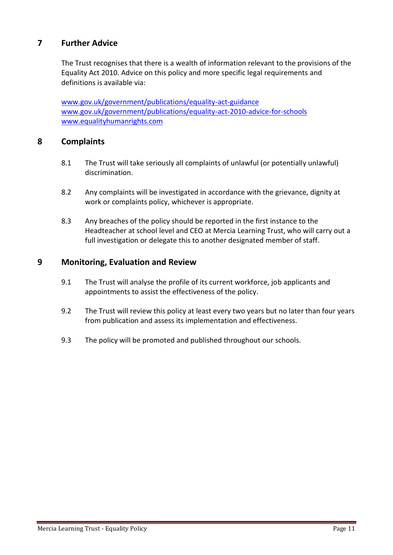# **7 Further Advice**

The Trust recognises that there is a wealth of information relevant to the provisions of the Equality Act 2010. Advice on this policy and more specific legal requirements and definitions is available via:

[www.gov.uk/government/publications/equality-act-guidance](http://www.gov.uk/government/publications/equality-act-guidance) [www.gov.uk/government/publications/equality-act-2010-advice-for-schools](http://www.gov.uk/government/publications/equality-act-2010-advice-for-schools) [www.equalityhumanrights.com](http://www.equalityhumanrights.com/)

## **8 Complaints**

- 8.1 The Trust will take seriously all complaints of unlawful (or potentially unlawful) discrimination.
- 8.2 Any complaints will be investigated in accordance with the grievance, dignity at work or complaints policy, whichever is appropriate.
- 8.3 Any breaches of the policy should be reported in the first instance to the Headteacher at school level and CEO at Mercia Learning Trust, who will carry out a full investigation or delegate this to another designated member of staff.

## **9 Monitoring, Evaluation and Review**

- 9.1 The Trust will analyse the profile of its current workforce, job applicants and appointments to assist the effectiveness of the policy.
- 9.2 The Trust will review this policy at least every two years but no later than four years from publication and assess its implementation and effectiveness.
- 9.3 The policy will be promoted and published throughout our schools.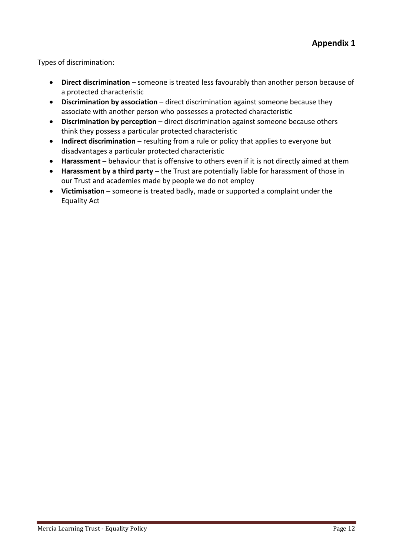Types of discrimination:

- **Direct discrimination** someone is treated less favourably than another person because of a protected characteristic
- **Discrimination by association** direct discrimination against someone because they associate with another person who possesses a protected characteristic
- **Discrimination by perception** direct discrimination against someone because others think they possess a particular protected characteristic
- **Indirect discrimination** resulting from a rule or policy that applies to everyone but disadvantages a particular protected characteristic
- **Harassment** behaviour that is offensive to others even if it is not directly aimed at them
- **Harassment by a third party** the Trust are potentially liable for harassment of those in our Trust and academies made by people we do not employ
- **Victimisation** someone is treated badly, made or supported a complaint under the Equality Act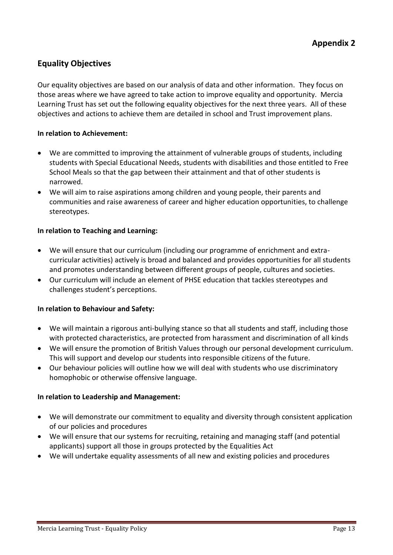# **Equality Objectives**

Our equality objectives are based on our analysis of data and other information. They focus on those areas where we have agreed to take action to improve equality and opportunity. Mercia Learning Trust has set out the following equality objectives for the next three years. All of these objectives and actions to achieve them are detailed in school and Trust improvement plans.

#### **In relation to Achievement:**

- We are committed to improving the attainment of vulnerable groups of students, including students with Special Educational Needs, students with disabilities and those entitled to Free School Meals so that the gap between their attainment and that of other students is narrowed.
- We will aim to raise aspirations among children and young people, their parents and communities and raise awareness of career and higher education opportunities, to challenge stereotypes.

#### **In relation to Teaching and Learning:**

- We will ensure that our curriculum (including our programme of enrichment and extracurricular activities) actively is broad and balanced and provides opportunities for all students and promotes understanding between different groups of people, cultures and societies.
- Our curriculum will include an element of PHSE education that tackles stereotypes and challenges student's perceptions.

## **In relation to Behaviour and Safety:**

- We will maintain a rigorous anti-bullying stance so that all students and staff, including those with protected characteristics, are protected from harassment and discrimination of all kinds
- We will ensure the promotion of British Values through our personal development curriculum. This will support and develop our students into responsible citizens of the future.
- Our behaviour policies will outline how we will deal with students who use discriminatory homophobic or otherwise offensive language.

#### **In relation to Leadership and Management:**

- We will demonstrate our commitment to equality and diversity through consistent application of our policies and procedures
- We will ensure that our systems for recruiting, retaining and managing staff (and potential applicants) support all those in groups protected by the Equalities Act
- We will undertake equality assessments of all new and existing policies and procedures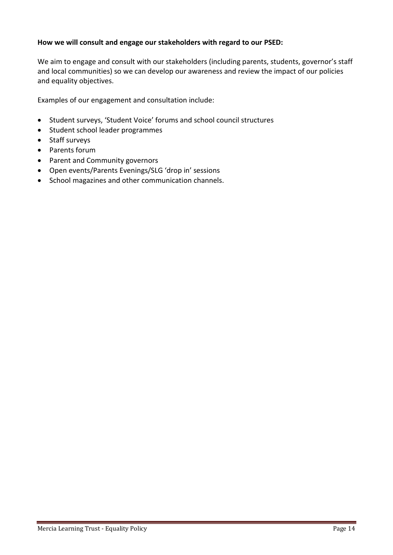## **How we will consult and engage our stakeholders with regard to our PSED:**

We aim to engage and consult with our stakeholders (including parents, students, governor's staff and local communities) so we can develop our awareness and review the impact of our policies and equality objectives.

Examples of our engagement and consultation include:

- Student surveys, 'Student Voice' forums and school council structures
- Student school leader programmes
- Staff surveys
- Parents forum
- Parent and Community governors
- Open events/Parents Evenings/SLG 'drop in' sessions
- School magazines and other communication channels.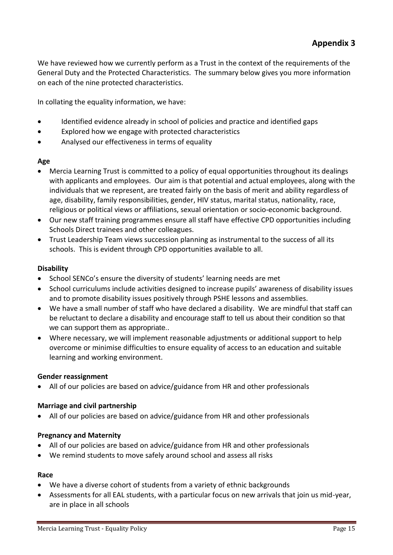We have reviewed how we currently perform as a Trust in the context of the requirements of the General Duty and the Protected Characteristics. The summary below gives you more information on each of the nine protected characteristics.

In collating the equality information, we have:

- Identified evidence already in school of policies and practice and identified gaps
- Explored how we engage with protected characteristics
- Analysed our effectiveness in terms of equality

#### **Age**

- Mercia Learning Trust is committed to a policy of equal opportunities throughout its dealings with applicants and employees. Our aim is that potential and actual employees, along with the individuals that we represent, are treated fairly on the basis of merit and ability regardless of age, disability, family responsibilities, gender, HIV status, marital status, nationality, race, religious or political views or affiliations, sexual orientation or socio-economic background.
- Our new staff training programmes ensure all staff have effective CPD opportunities including Schools Direct trainees and other colleagues.
- Trust Leadership Team views succession planning as instrumental to the success of all its schools. This is evident through CPD opportunities available to all.

## **Disability**

- School SENCo's ensure the diversity of students' learning needs are met
- School curriculums include activities designed to increase pupils' awareness of disability issues and to promote disability issues positively through PSHE lessons and assemblies.
- We have a small number of staff who have declared a disability. We are mindful that staff can be reluctant to declare a disability and encourage staff to tell us about their condition so that we can support them as appropriate..
- Where necessary, we will implement reasonable adjustments or additional support to help overcome or minimise difficulties to ensure equality of access to an education and suitable learning and working environment.

## **Gender reassignment**

• All of our policies are based on advice/guidance from HR and other professionals

#### **Marriage and civil partnership**

• All of our policies are based on advice/guidance from HR and other professionals

#### **Pregnancy and Maternity**

- All of our policies are based on advice/guidance from HR and other professionals
- We remind students to move safely around school and assess all risks

#### **Race**

- We have a diverse cohort of students from a variety of ethnic backgrounds
- Assessments for all EAL students, with a particular focus on new arrivals that join us mid-year, are in place in all schools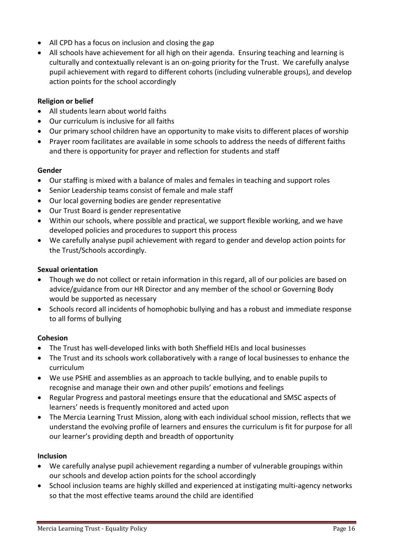- All CPD has a focus on inclusion and closing the gap
- All schools have achievement for all high on their agenda. Ensuring teaching and learning is culturally and contextually relevant is an on-going priority for the Trust. We carefully analyse pupil achievement with regard to different cohorts (including vulnerable groups), and develop action points for the school accordingly

#### **Religion or belief**

- All students learn about world faiths
- Our curriculum is inclusive for all faiths
- Our primary school children have an opportunity to make visits to different places of worship
- Prayer room facilitates are available in some schools to address the needs of different faiths and there is opportunity for prayer and reflection for students and staff

#### **Gender**

- Our staffing is mixed with a balance of males and females in teaching and support roles
- Senior Leadership teams consist of female and male staff
- Our local governing bodies are gender representative
- Our Trust Board is gender representative
- Within our schools, where possible and practical, we support flexible working, and we have developed policies and procedures to support this process
- We carefully analyse pupil achievement with regard to gender and develop action points for the Trust/Schools accordingly.

#### **Sexual orientation**

- Though we do not collect or retain information in this regard, all of our policies are based on advice/guidance from our HR Director and any member of the school or Governing Body would be supported as necessary
- Schools record all incidents of homophobic bullying and has a robust and immediate response to all forms of bullying

## **Cohesion**

- The Trust has well-developed links with both Sheffield HEIs and local businesses
- The Trust and its schools work collaboratively with a range of local businesses to enhance the curriculum
- We use PSHE and assemblies as an approach to tackle bullying, and to enable pupils to recognise and manage their own and other pupils' emotions and feelings
- Regular Progress and pastoral meetings ensure that the educational and SMSC aspects of learners' needs is frequently monitored and acted upon
- The Mercia Learning Trust Mission, along with each individual school mission, reflects that we understand the evolving profile of learners and ensures the curriculum is fit for purpose for all our learner's providing depth and breadth of opportunity

## **Inclusion**

- We carefully analyse pupil achievement regarding a number of vulnerable groupings within our schools and develop action points for the school accordingly
- School inclusion teams are highly skilled and experienced at instigating multi-agency networks so that the most effective teams around the child are identified